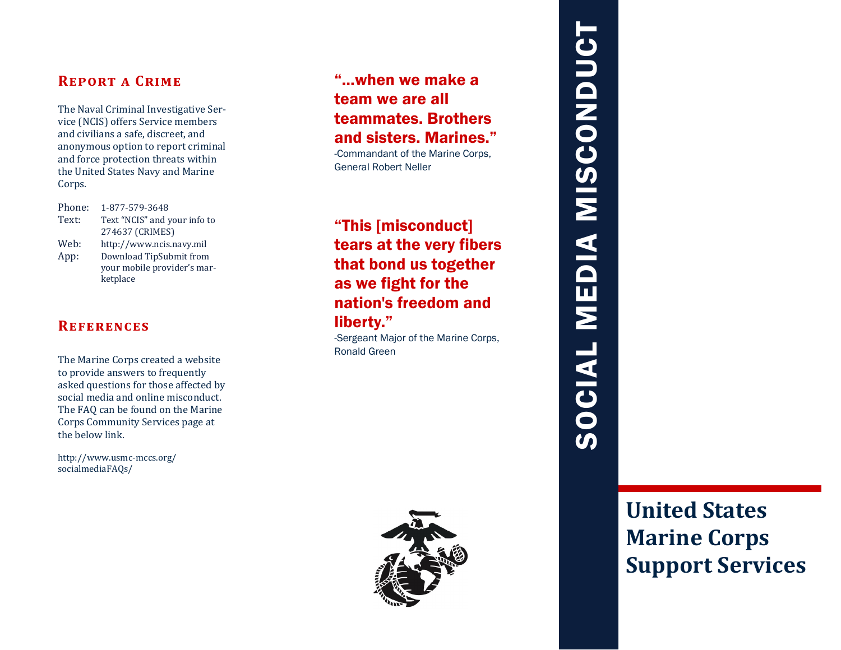# **Report a Crime**

The Naval Criminal Investigative Service (NCIS) offers Service members and civilians a safe, discreet, and anonymous option to report criminal and force protection threats within the United States Navy and Marine Corps.

Phone: 1-877-579-3648 Text: Text "NCIS" and your info to 274637 (CRIMES) Web: http://www.ncis.navy.mil App: Download TipSubmit from your mobile provider's marketplace

## **References**

The Marine Corps created a website to provide answers to frequently asked questions for those affected by social media and online misconduct. The FAQ can be found on the Marine Corps Community Services page at the below link.

http://www.usmc-mccs.org/ socialmediaFAQs/

# "...when we make a team we are all teammates. Brothers and sisters. Marines."

-Commandant of the Marine Corps, General Robert Neller

"This [misconduct] tears at the very fibers that bond us together as we fight for the nation's freedom and liberty."

-Sergeant Major of the Marine Corps, Ronald Green



# SOCIAL MEDIA MISCONDUCT SOCIAL MEDIA MISCONDUCT

**United States Marine Corps Support Services**